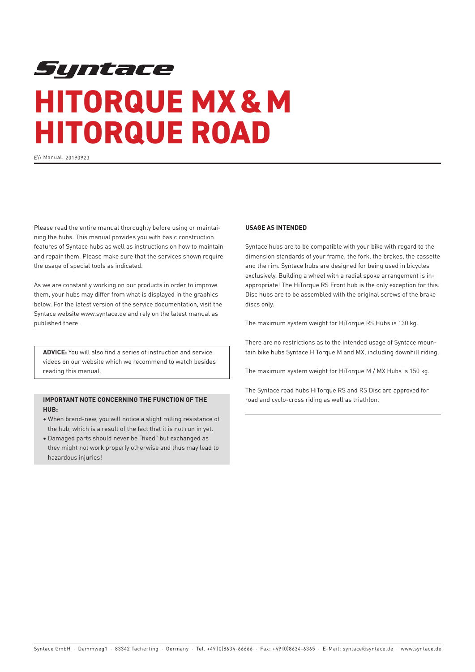# Syntace **HITORQUE MX & M HITORQUE ROAD**

E\\ Manual. 20190923

Please read the entire manual thoroughly before using or maintaining the hubs. This manual provides you with basic construction features of Syntace hubs as well as instructions on how to maintain and repair them. Please make sure that the services shown require the usage of special tools as indicated.

As we are constantly working on our products in order to improve them, your hubs may differ from what is displayed in the graphics below. For the latest version of the service documentation, visit the Syntace website www.syntace.de and rely on the latest manual as published there.

**ADVICE:** You will also find a series of instruction and service videos on our website which we recommend to watch besides reading this manual.

# **IMPORTANT NOTE CONCERNING THE FUNCTION OF THE HUB:**

- ∙ When brand-new, you will notice a slight rolling resistance of the hub, which is a result of the fact that it is not run in yet.
- ∙ Damaged parts should never be "fixed" but exchanged as they might not work properly otherwise and thus may lead to hazardous injuries!

### **USAGE AS INTENDED**

Syntace hubs are to be compatible with your bike with regard to the dimension standards of your frame, the fork, the brakes, the cassette and the rim. Syntace hubs are designed for being used in bicycles exclusively. Building a wheel with a radial spoke arrangement is inappropriate! The HiTorque RS Front hub is the only exception for this. Disc hubs are to be assembled with the original screws of the brake discs only.

The maximum system weight for HiTorque RS Hubs is 130 kg.

There are no restrictions as to the intended usage of Syntace mountain bike hubs Syntace HiTorque M and MX, including downhill riding.

The maximum system weight for HiTorque M / MX Hubs is 150 kg.

The Syntace road hubs HiTorque RS and RS Disc are approved for road and cyclo-cross riding as well as triathlon.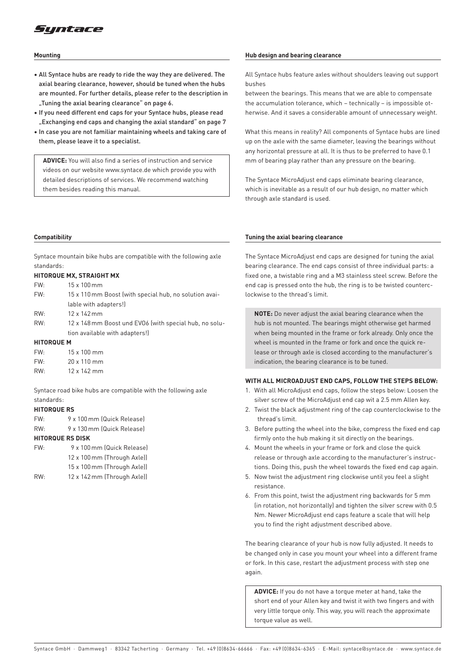

#### **Mounting**

- All Syntace hubs are ready to ride the way they are delivered. The axial bearing clearance, however, should be tuned when the hubs are mounted. For further details, please refer to the description in "Tuning the axial bearing clearance" on page 6.
- If you need different end caps for your Syntace hubs, please read "Exchanging end caps and changing the axial standard" on page 7
- In case you are not familiar maintaining wheels and taking care of them, please leave it to a specialist.

**ADVICE:** You will also find a series of instruction and service videos on our website www.syntace.de which provide you with detailed descriptions of services. We recommend watching them besides reading this manual.

#### **Compatibility**

Syntace mountain bike hubs are compatible with the following axle standards:

#### **HITORQUE MX, STRAIGHT MX**

| FW:               | $15 \times 100$ mm                                     |
|-------------------|--------------------------------------------------------|
| FW:               | 15 x 110 mm Boost (with special hub, no solution avai- |
|                   | lable with adapters!)                                  |
| RW:               | 12 x 142 mm                                            |
| RW:               | 12 x 148 mm Boost und EVO6 (with special hub, no solu- |
|                   | tion available with adapters!)                         |
| <b>HITORQUE M</b> |                                                        |
| FW:               | 15 x 100 mm                                            |
| FW:               | $20 \times 110$ mm                                     |

| <b>FVV:</b> | ZU X I IU IIIIII   |
|-------------|--------------------|
| RW:         | $12 \times 142$ mm |

Syntace road bike hubs are compatible with the following axle standards:

#### **HITORQUE RS**

- FW: 9 x 100mm (Quick Release)
- RW: 9 x 130mm (Quick Release)

# **HITORQUE RS DISK**

| FW:    | 9 x 100 mm (Quick Release)                                                                                                                                                                                                                                                                                                                                      |
|--------|-----------------------------------------------------------------------------------------------------------------------------------------------------------------------------------------------------------------------------------------------------------------------------------------------------------------------------------------------------------------|
|        | 12 x 100 mm (Through Axle))                                                                                                                                                                                                                                                                                                                                     |
|        | 15 x 100 mm (Through Axle))                                                                                                                                                                                                                                                                                                                                     |
| $\sum$ | $\overline{10}$ $\overline{10}$ $\overline{17}$ $\overline{17}$ $\overline{11}$ $\overline{11}$ $\overline{11}$ $\overline{11}$ $\overline{11}$ $\overline{11}$ $\overline{11}$ $\overline{11}$ $\overline{11}$ $\overline{11}$ $\overline{11}$ $\overline{11}$ $\overline{11}$ $\overline{11}$ $\overline{11}$ $\overline{11}$ $\overline{11}$ $\overline{11}$ |

RW: 12 x 142mm (Through Axle))

#### **Hub design and bearing clearance**

All Syntace hubs feature axles without shoulders leaving out support bushes

between the bearings. This means that we are able to compensate the accumulation tolerance, which – technically – is impossible otherwise. And it saves a considerable amount of unnecessary weight.

What this means in reality? All components of Syntace hubs are lined up on the axle with the same diameter, leaving the bearings without any horizontal pressure at all. It is thus to be preferred to have 0.1 mm of bearing play rather than any pressure on the bearing.

The Syntace MicroAdjust end caps eliminate bearing clearance, which is inevitable as a result of our hub design, no matter which through axle standard is used.

#### **Tuning the axial bearing clearance**

The Syntace MicroAdjust end caps are designed for tuning the axial bearing clearance. The end caps consist of three individual parts: a fixed one, a twistable ring and a M3 stainless steel screw. Before the end cap is pressed onto the hub, the ring is to be twisted counterclockwise to the thread's limit.

**NOTE:** Do never adjust the axial bearing clearance when the hub is not mounted. The bearings might otherwise get harmed when being mounted in the frame or fork already. Only once the wheel is mounted in the frame or fork and once the quick release or through axle is closed according to the manufacturer's indication, the bearing clearance is to be tuned.

#### **WITH ALL MICROADJUST END CAPS, FOLLOW THE STEPS BELOW:**

- 1. With all MicroAdjust end caps, follow the steps below: Loosen the silver screw of the MicroAdjust end cap wit a 2.5 mm Allen key.
- 2. Twist the black adjustment ring of the cap counterclockwise to the thread's limit.
- 3. Before putting the wheel into the bike, compress the fixed end cap firmly onto the hub making it sit directly on the bearings.
- 4. Mount the wheels in your frame or fork and close the quick release or through axle according to the manufacturer's instructions. Doing this, push the wheel towards the fixed end cap again.
- 5. Now twist the adjustment ring clockwise until you feel a slight resistance.
- 6. From this point, twist the adjustment ring backwards for 5 mm (in rotation, not horizontally) and tighten the silver screw with 0.5 Nm. Newer MicroAdjust end caps feature a scale that will help you to find the right adjustment described above.

The bearing clearance of your hub is now fully adjusted. It needs to be changed only in case you mount your wheel into a different frame or fork. In this case, restart the adjustment process with step one again.

**ADVICE:** If you do not have a torque meter at hand, take the short end of your Allen key and twist it with two fingers and with very little torque only. This way, you will reach the approximate torque value as well.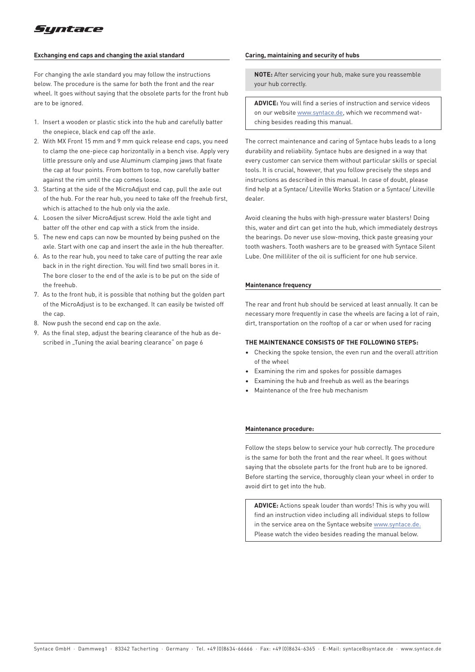

#### **Exchanging end caps and changing the axial standard**

For changing the axle standard you may follow the instructions below. The procedure is the same for both the front and the rear wheel. It goes without saying that the obsolete parts for the front hub are to be ignored.

- 1. Insert a wooden or plastic stick into the hub and carefully batter the onepiece, black end cap off the axle.
- 2. With MX Front 15 mm and 9 mm quick release end caps, you need to clamp the one-piece cap horizontally in a bench vise. Apply very little pressure only and use Aluminum clamping jaws that fixate the cap at four points. From bottom to top, now carefully batter against the rim until the cap comes loose.
- 3. Starting at the side of the MicroAdjust end cap, pull the axle out of the hub. For the rear hub, you need to take off the freehub first, which is attached to the hub only via the axle.
- 4. Loosen the silver MicroAdjust screw. Hold the axle tight and batter off the other end cap with a stick from the inside.
- 5. The new end caps can now be mounted by being pushed on the axle. Start with one cap and insert the axle in the hub thereafter.
- 6. As to the rear hub, you need to take care of putting the rear axle back in in the right direction. You will find two small bores in it. The bore closer to the end of the axle is to be put on the side of the freehub.
- 7. As to the front hub, it is possible that nothing but the golden part of the MicroAdjust is to be exchanged. It can easily be twisted off the can
- 8. Now push the second end cap on the axle.
- 9. As the final step, adjust the bearing clearance of the hub as described in "Tuning the axial bearing clearance" on page 6

#### **Caring, maintaining and security of hubs**

**NOTE:** After servicing your hub, make sure you reassemble your hub correctly.

**ADVICE:** You will find a series of instruction and service videos on our website www.syntace.de, which we recommend watching besides reading this manual.

The correct maintenance and caring of Syntace hubs leads to a long durability and reliability. Syntace hubs are designed in a way that every customer can service them without particular skills or special tools. It is crucial, however, that you follow precisely the steps and instructions as described in this manual. In case of doubt, please find help at a Syntace/ Liteville Works Station or a Syntace/ Liteville dealer.

Avoid cleaning the hubs with high-pressure water blasters! Doing this, water and dirt can get into the hub, which immediately destroys the bearings. Do never use slow-moving, thick paste greasing your tooth washers. Tooth washers are to be greased with Syntace Silent Lube. One milliliter of the oil is sufficient for one hub service.

#### **Maintenance frequency**

The rear and front hub should be serviced at least annually. It can be necessary more frequently in case the wheels are facing a lot of rain, dirt, transportation on the rooftop of a car or when used for racing

#### **THE MAINTENANCE CONSISTS OF THE FOLLOWING STEPS:**

- Checking the spoke tension, the even run and the overall attrition of the wheel
- Examining the rim and spokes for possible damages
- Examining the hub and freehub as well as the bearings
- Maintenance of the free hub mechanism

#### **Maintenance procedure:**

Follow the steps below to service your hub correctly. The procedure is the same for both the front and the rear wheel. It goes without saying that the obsolete parts for the front hub are to be ignored. Before starting the service, thoroughly clean your wheel in order to avoid dirt to get into the hub.

**ADVICE:** Actions speak louder than words! This is why you will find an instruction video including all individual steps to follow in the service area on the Syntace website www.syntace.de. Please watch the video besides reading the manual below.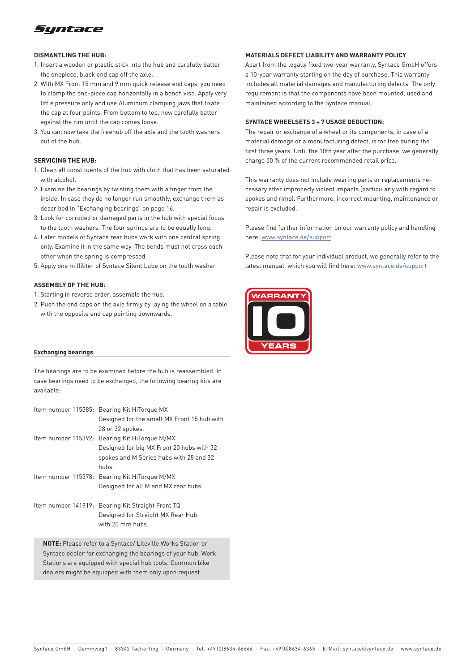

#### **DISMANTLING THE HUB:**

- 1. Insert a wooden or plastic stick into the hub and carefully batter the onepiece, black end cap off the axle.
- 2. With MX Front 15 mm and 9 mm quick release end caps, you need to clamp the one-piece cap horizontally in a bench vise. Apply very little pressure only and use Aluminum clamping jaws that fixate the cap at four points. From bottom to top, now carefully batter against the rim until the cap comes loose.
- 3. You can now take the freehub off the axle and the tooth washers out of the hub.

#### **SERVICING THE HUB:**

- 1. Clean all constituents of the hub with cloth that has been saturated with alcohol.
- 2. Examine the bearings by twisting them with a finger from the inside. In case they do no longer run smoothly, exchange them as described in "Exchanging bearings" on page 16.
- 3. Look for corroded or damaged parts in the hub with special focus to the tooth washers. The four springs are to be equally long.
- 4. Later models of Syntace rear hubs work with one central spring only. Examine it in the same way. The bends must not cross each other when the spring is compressed.
- 5. Apply one milliliter of Syntace Silent Lube on the tooth washer.

#### **ASSEMBLY OF THE HUB:**

- 1. Starting in reverse order, assemble the hub.
- 2. Push the end caps on the axle firmly by laying the wheel on a table with the opposite end cap pointing downwards.

#### **Exchanging bearings**

The bearings are to be examined before the hub is reassembled. In case bearings need to be exchanged, the following bearing kits are available:

| Item number 115385: Bearing Kit HiTorque MX       |
|---------------------------------------------------|
| Designed for the small MX Front 15 hub with       |
| 28 or 32 spokes.                                  |
| Item number 115392: Bearing Kit HiTorque M/MX     |
| Designed for big MX Front 20 hubs with 32         |
| spokes and M Series hubs with 28 and 32           |
| hubs.                                             |
| Item number 115378: Bearing Kit HiTorque M/MX     |
| Designed for all M and MX rear hubs.              |
|                                                   |
| Item number 141919: Bearing Kit Straight Front TQ |
| Designed for Straight MX Rear Hub                 |
| with 20 mm hubs.                                  |

**NOTE:** Please refer to a Syntace/ Liteville Works Station or Syntace dealer for exchanging the bearings of your hub. Work Stations are equipped with special hub tools. Common bike dealers might be equipped with them only upon request.

#### **MATERIALS DEFECT LIABILITY AND WARRANTY POLICY**

Apart from the legally fixed two-year warranty, Syntace GmbH offers a 10-year warranty starting on the day of purchase. This warranty includes all material damages and manufacturing defects. The only requirement is that the components have been mounted, used and maintained according to the Syntace manual.

#### **SYNTACE WHEELSETS 3 + 7 USAGE DEDUCTION:**

The repair or exchange of a wheel or its components, in case of a material damage or a manufacturing defect, is for free during the first three years. Until the 10th year after the purchase, we generally charge 50 % of the current recommended retail price.

This warranty does not include wearing parts or replacements necessary after improperly violent impacts (particularly with regard to spokes and rims). Furthermore, incorrect mounting, maintenance or repair is excluded.

Please find further information on our warranty policy and handling here: www.syntace.de/support

Please note that for your individual product, we generally refer to the latest manual, which you will find here: www.syntace.de/support

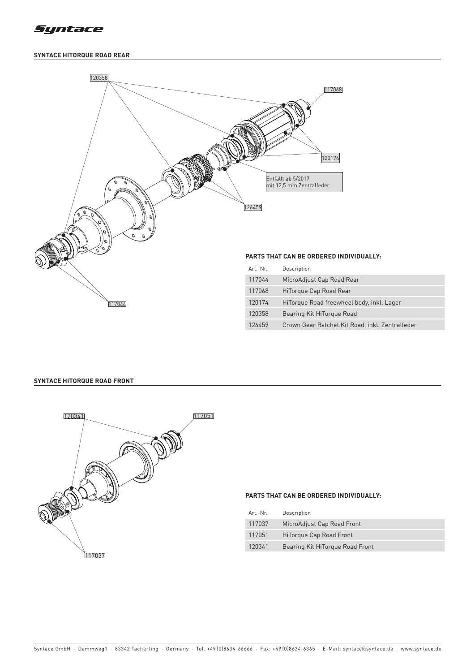

# **SYNTACE HITORQUE ROAD REAR**



# **SYNTACE HITORQUE ROAD FRONT**



#### **PARTS THAT CAN BE ORDERED INDIVIDUALLY:**

| Art.-Nr. | Description                     |
|----------|---------------------------------|
| 117037   | MicroAdjust Cap Road Front      |
| 117051   | HiTorque Cap Road Front         |
| 120341   | Bearing Kit HiTorgue Road Front |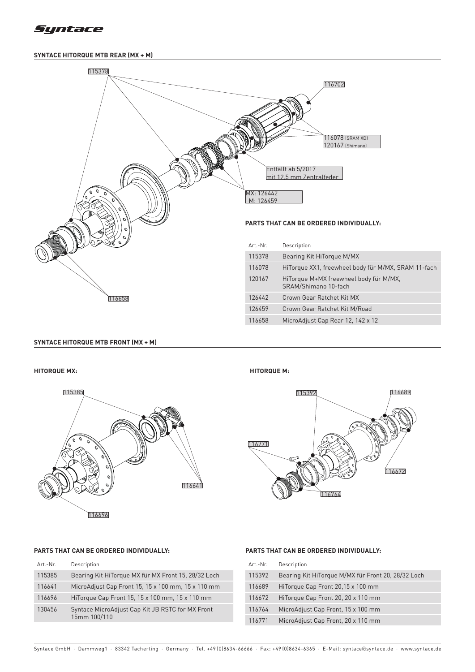

# **SYNTACE HITORQUE MTB REAR (MX + M)**



### **SYNTACE HITORQUE MTB FRONT (MX + M)**



### **HITORQUE MX: HITORQUE M:**



# **PARTS THAT CAN BE ORDERED INDIVIDUALLY:**

| Art.-Nr. | Description                                                      |
|----------|------------------------------------------------------------------|
| 115385   | Bearing Kit HiTorque MX für MX Front 15, 28/32 Loch              |
| 116641   | MicroAdjust Cap Front 15, 15 x 100 mm, 15 x 110 mm               |
| 116696   | HiTorque Cap Front 15, 15 x 100 mm, 15 x 110 mm                  |
| 130456   | Syntace MicroAdjust Cap Kit JB RSTC for MX Front<br>15mm 100/110 |

# **PARTS THAT CAN BE ORDERED INDIVIDUALLY:**

| Art.-Nr. | Description                                        |
|----------|----------------------------------------------------|
| 115392   | Bearing Kit HiTorque M/MX für Front 20, 28/32 Loch |
| 116689   | HiTorque Cap Front 20,15 x 100 mm                  |
| 116672   | HiTorque Cap Front 20, 20 x 110 mm                 |
| 116764   | MicroAdjust Cap Front, 15 x 100 mm                 |
| 116771   | MicroAdjust Cap Front, 20 x 110 mm                 |